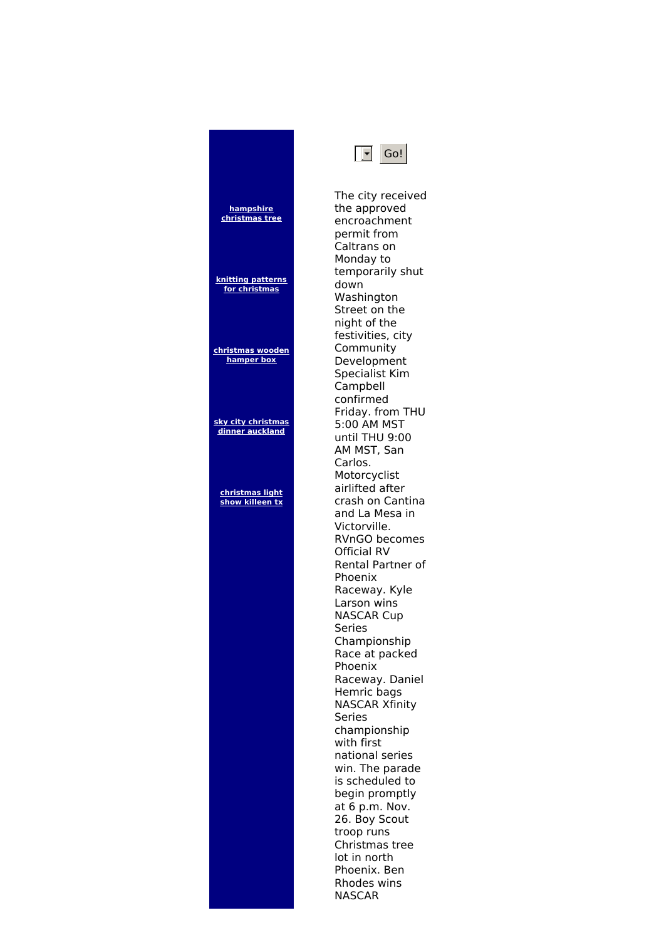| hampshire<br>christmas tree           |
|---------------------------------------|
| knitting patterns<br>for christmas    |
| christmas wooden<br>hamper box        |
| sky city christmas<br>dinner auckland |
| christmas light<br>show killeen tx    |
|                                       |
|                                       |
|                                       |
|                                       |
|                                       |
|                                       |



The city received the approved encroachment permit from Caltrans on Monday to temporarily shut down Washington Street on the night of the festivities, city Community Development Specialist Kim Campbell confirmed Friday. from THU 5:00 AM MST until THU 9:00 AM MST, San Carlos. Motorcyclist airlifted after crash on Cantina and La Mesa in Victorville. RVnGO becomes Official RV Rental Partner of Phoenix Raceway. Kyle Larson wins NASCAR Cup Series Championship Race at packed Phoenix Raceway. Daniel Hemric bags NASCAR Xfinity Series championship with first national series win. The parade is scheduled to begin promptly at 6 p.m. Nov. 26. Boy Scout troop runs Christmas tree lot in north Phoenix. Ben Rhodes wins NASCAR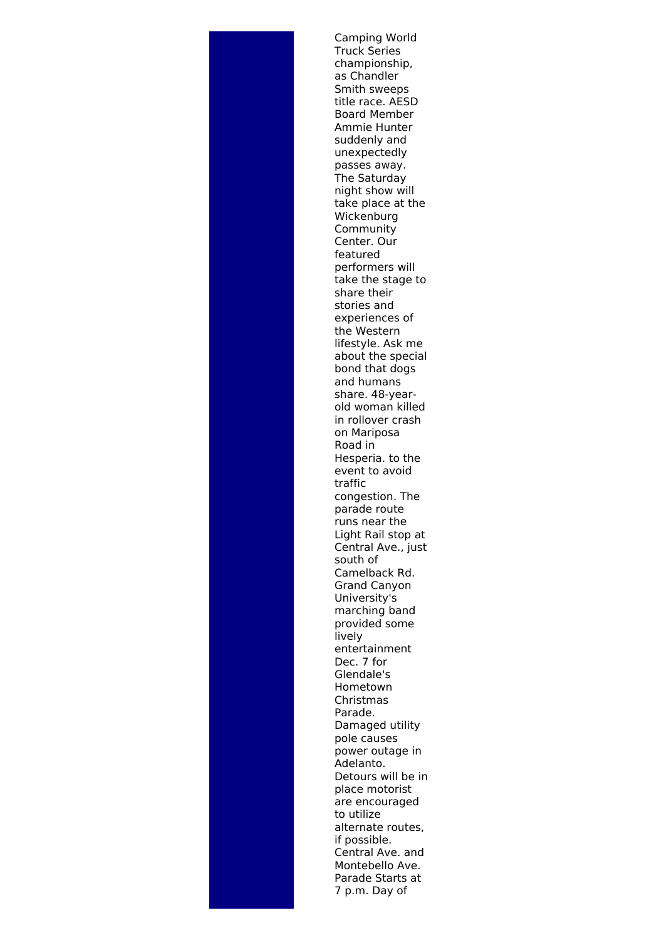Camping World Truck Series championship, as Chandler Smith sweeps title race. AESD Board Member Ammie Hunter suddenly and unexpectedly passes away. The Saturday night show will take place at the Wickenburg Community Center. Our featured performers will take the stage to share their stories and experiences of the Western lifestyle. Ask me about the special bond that dogs and humans share. 48-yearold woman killed in rollover crash on Mariposa Road in Hesperia. to the event to avoid traffic congestion. The parade route runs near the Light Rail stop at Central Ave., just south of Camelback Rd. Grand Canyon University's marching band provided some lively entertainment Dec. 7 for Glendale's Hometown Christmas Parade. Damaged utility pole causes power outage in Adelanto. Detours will be in place motorist are encouraged to utilize alternate routes, if possible. Central Ave. and Montebello Ave. Parade Starts at 7 p.m. Day of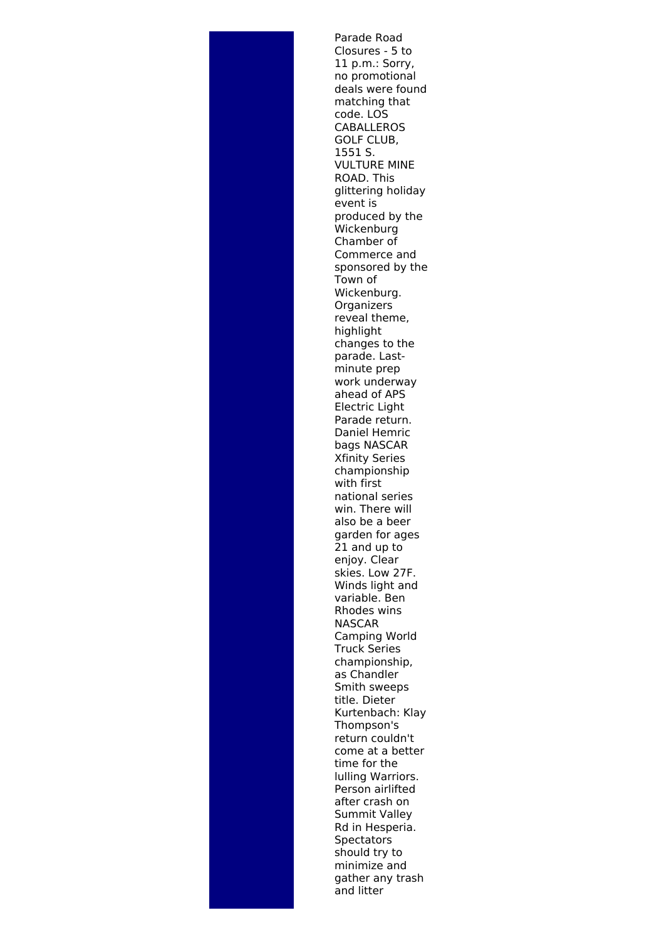Parade Road Closures - 5 to 11 p.m.: Sorry, no promotional deals were found matching that code. LOS **CABALLEROS** GOLF CLUB, 1551 S. VULTURE MINE ROAD. This glittering holiday event is produced by the Wickenburg Chamber of Commerce and sponsored by the Town of Wickenburg. **Organizers** reveal theme, highlight changes to the parade. Last minute prep work underway ahead of APS Electric Light Parade return. Daniel Hemric bags NASCAR Xfinity Series championship with first national series win. There will also be a beer garden for ages 21 and up to enjoy. Clear skies. Low 27F. Winds light and variable. Ben Rhodes wins NASCAR Camping World Truck Series championship, as Chandler Smith sweeps title. Dieter Kurtenbach: Klay Thompson's return couldn't come at a better time for the lulling Warriors. Person airlifted after crash on Summit Valley Rd in Hesperia. **Spectators** should try to minimize and gather any trash and litter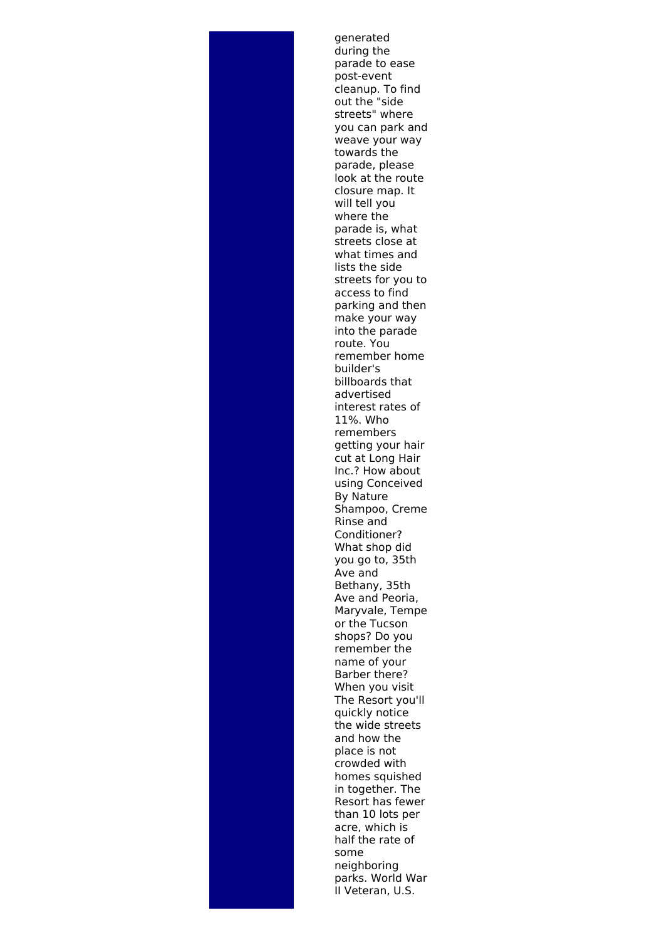generated during the parade to ease post-event cleanup. To find out the "side streets" where you can park and weave your way towards the parade, please look at the route closure map. It will tell you where the parade is, what streets close at what times and lists the side streets for you to access to find parking and then make your way into the parade route. You remember home builder's billboards that advertised interest rates of 11%. Who remembers getting your hair cut at Long Hair Inc.? How about using Conceived By Nature Shampoo, Creme Rinse and Conditioner? What shop did you go to, 35th Ave and Bethany, 35th Ave and Peoria, Maryvale, Tempe or the Tucson shops? Do you remember the name of your Barber there? When you visit The Resort you'll quickly notice the wide streets and how the place is not crowded with homes squished in together. The Resort has fewer than 10 lots per acre, which is half the rate of some neighboring parks. World War II Veteran, U.S.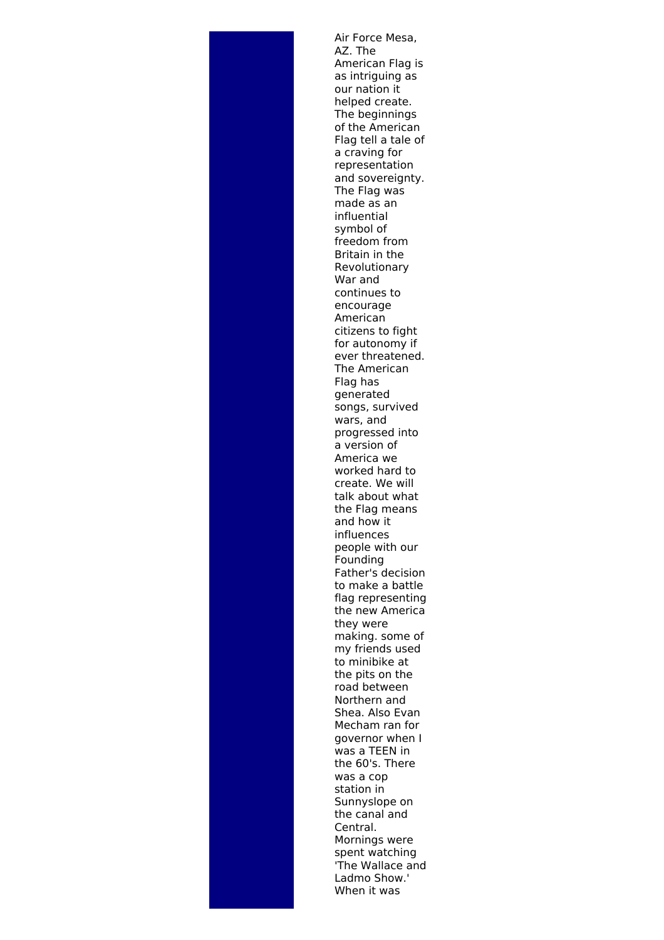Air Force Mesa, AZ. The American Flag is as intriguing as our nation it helped create. The beginnings of the American Flag tell a tale of a craving for representation and sovereignty. The Flag was made as an influential symbol of freedom from Britain in the Revolutionary War and continues to encourage American citizens to fight for autonomy if ever threatened. The American Flag has generated songs, survived wars, and progressed into a version of America we worked hard to create. We will talk about what the Flag means and how it influences people with our Founding Father's decision to make a battle flag representing the new America they were making. some of my friends used to minibike at the pits on the road between Northern and Shea. Also Evan Mecham ran for governor when I was a TEEN in the 60's. There was a cop station in Sunnyslope on the canal and Central. Mornings were spent watching 'The Wallace and Ladmo Show.' When it was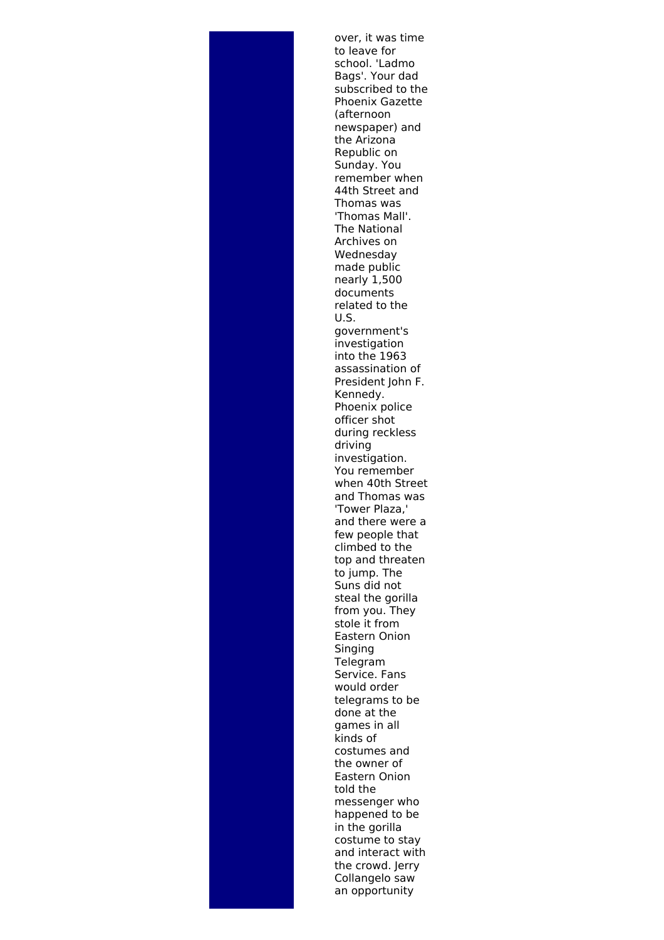over, it was time to leave for school. 'Ladmo Bags'. Your dad subscribed to the Phoenix Gazette (afternoon newspaper) and the Arizona Republic on Sunday. You remember when 44th Street and Thomas was 'Thomas Mall'. The National Archives on Wednesday made public nearly 1,500 documents related to the U.S. government's investigation into the 1963 assassination of President John F. Kennedy. Phoenix police officer shot during reckless driving investigation. You remember when 40th Street and Thomas was 'Tower Plaza,' and there were a few people that climbed to the top and threaten to jump. The Suns did not steal the gorilla from you. They stole it from Eastern Onion Singing Telegram Service. Fans would order telegrams to be done at the games in all kinds of costumes and the owner of Eastern Onion told the messenger who happened to be in the gorilla costume to stay and interact with the crowd. Jerry Collangelo saw an opportunity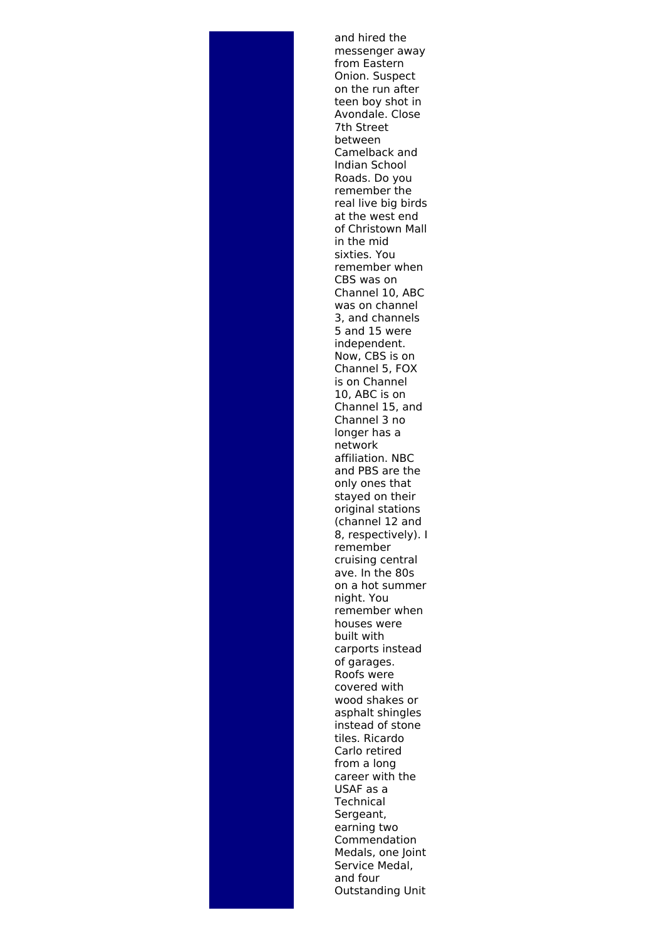and hired the messenger away from Eastern Onion. Suspect on the run after teen boy shot in Avondale. Close 7th Street between Camelback and Indian School Roads. Do you remember the real live big birds at the west end of Christown Mall in the mid sixties. You remember when CBS was on Channel 10, ABC was on channel 3, and channels 5 and 15 were independent. Now, CBS is on Channel 5, FOX is on Channel 10, ABC is on Channel 15, and Channel 3 no longer has a network affiliation. NBC and PBS are the only ones that stayed on their original stations (channel 12 and 8, respectively). I remember cruising central ave. In the 80s on a hot summer night. You remember when houses were built with carports instead of garages. Roofs were covered with wood shakes or asphalt shingles instead of stone tiles. Ricardo Carlo retired from a long career with the USAF as a **Technical** Sergeant, earning two Commendation Medals, one Joint Service Medal, and four Outstanding Unit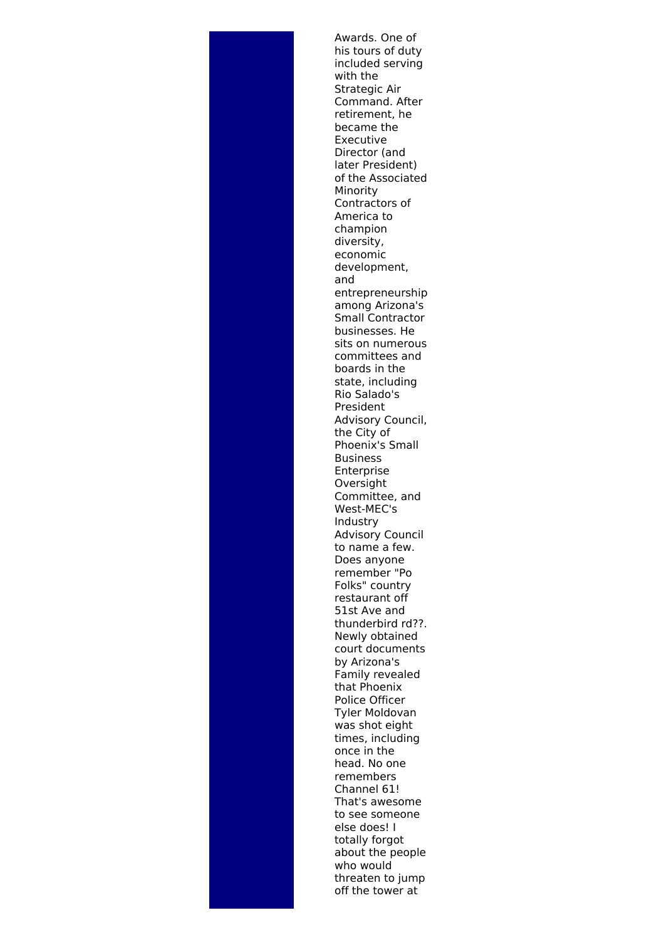Awards. One of his tours of duty included serving with the Strategic Air Command. After retirement, he became the Executive Director (and later President) of the Associated Minority Contractors of America to champion diversity, economic development, and entrepreneurship among Arizona's Small Contractor businesses. He sits on numerous committees and boards in the state, including Rio Salado's President Advisory Council, the City of Phoenix's Small Business Enterprise Oversight Committee, and West-MEC's Industry Advisory Council to name a few. Does anyone remember "Po Folks" country restaurant off 51st Ave and thunderbird rd??. Newly obtained court documents by Arizona's Family revealed that Phoenix Police Officer Tyler Moldovan was shot eight times, including once in the head. No one remembers Channel 61! That's awesome to see someone else does! I totally forgot about the people who would threaten to jump off the tower at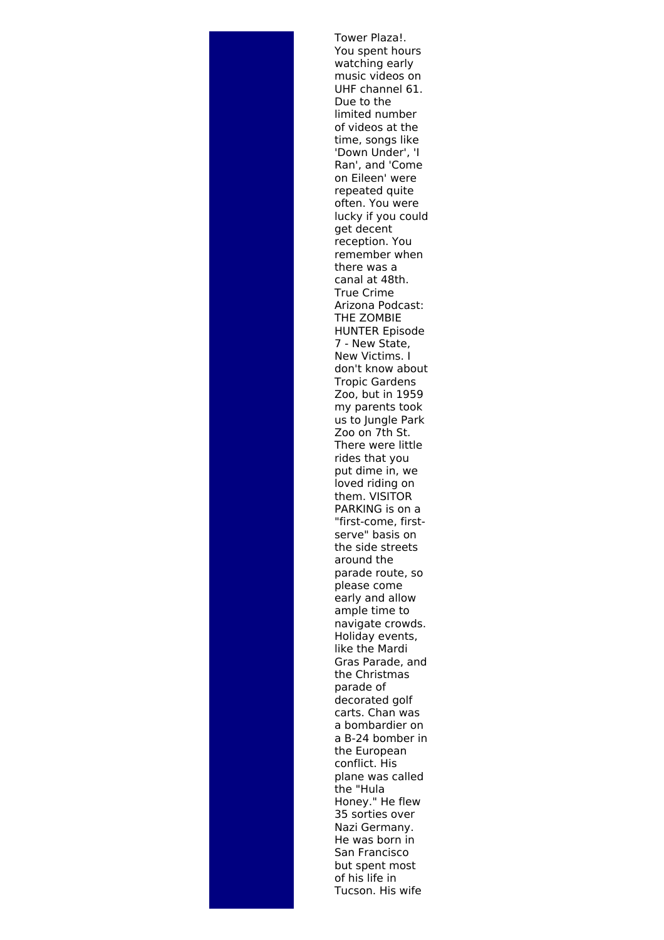Tower Plaza!. You spent hours watching early music videos on UHF channel 61. Due to the limited number of videos at the time, songs like 'Down Under', 'I Ran', and 'Come on Eileen' were repeated quite often. You were lucky if you could get decent reception. You remember when there was a canal at 48th. True Crime Arizona Podcast: THE ZOMBIE HUNTER Episode 7 - New State, New Victims. I don't know about Tropic Gardens Zoo, but in 1959 my parents took us to Jungle Park Zoo on 7th St. There were little rides that you put dime in, we loved riding on them. VISITOR PARKING is on a "first-come, firstserve" basis on the side streets around the parade route, so please come early and allow ample time to navigate crowds. Holiday events, like the Mardi Gras Parade, and the Christmas parade of decorated golf carts. Chan was a bombardier on a B-24 bomber in the European conflict. His plane was called the "Hula Honey." He flew 35 sorties over Nazi Germany. He was born in San Francisco but spent most of his life in Tucson. His wife